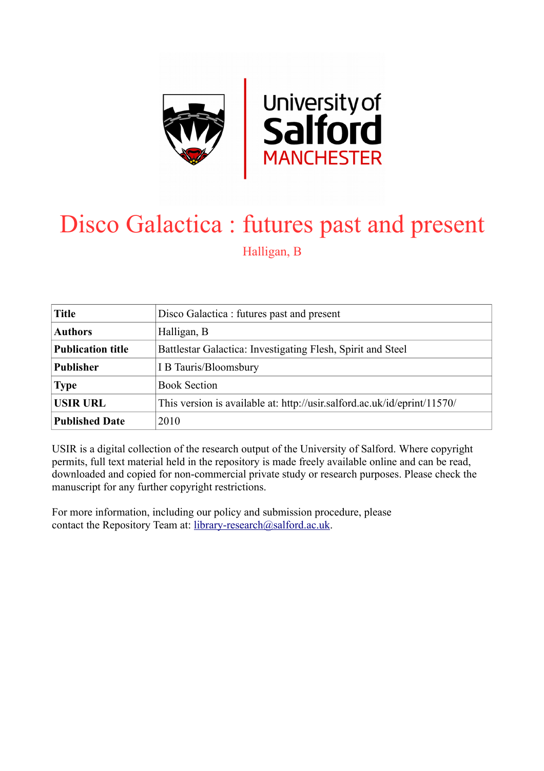

# Disco Galactica : futures past and present Halligan, B

| <b>Title</b>             | Disco Galactica : futures past and present                               |
|--------------------------|--------------------------------------------------------------------------|
| <b>Authors</b>           | Halligan, B                                                              |
| <b>Publication title</b> | Battlestar Galactica: Investigating Flesh, Spirit and Steel              |
| <b>Publisher</b>         | I B Tauris/Bloomsbury                                                    |
| <b>Type</b>              | <b>Book Section</b>                                                      |
| <b>USIR URL</b>          | This version is available at: http://usir.salford.ac.uk/id/eprint/11570/ |
| <b>Published Date</b>    | 2010                                                                     |

USIR is a digital collection of the research output of the University of Salford. Where copyright permits, full text material held in the repository is made freely available online and can be read, downloaded and copied for non-commercial private study or research purposes. Please check the manuscript for any further copyright restrictions.

For more information, including our policy and submission procedure, please contact the Repository Team at: [library-research@salford.ac.uk.](mailto:library-research@salford.ac.uk)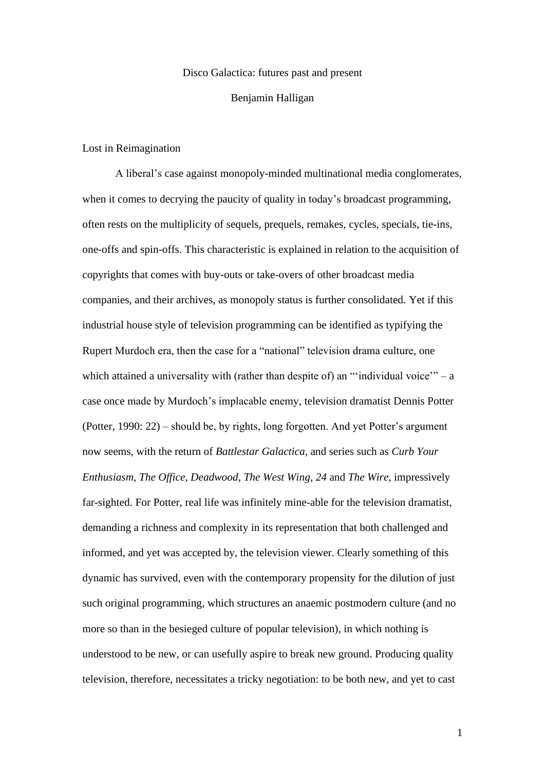#### Disco Galactica: futures past and present

#### Benjamin Halligan

#### Lost in Reimagination

A liberal's case against monopoly-minded multinational media conglomerates, when it comes to decrying the paucity of quality in today's broadcast programming, often rests on the multiplicity of sequels, prequels, remakes, cycles, specials, tie-ins, one-offs and spin-offs. This characteristic is explained in relation to the acquisition of copyrights that comes with buy-outs or take-overs of other broadcast media companies, and their archives, as monopoly status is further consolidated. Yet if this industrial house style of television programming can be identified as typifying the Rupert Murdoch era, then the case for a "national" television drama culture, one which attained a universality with (rather than despite of) an "'individual voice'" – a case once made by Murdoch's implacable enemy, television dramatist Dennis Potter (Potter, 1990: 22) – should be, by rights, long forgotten. And yet Potter's argument now seems, with the return of *Battlestar Galactica*, and series such as *Curb Your Enthusiasm*, *The Office*, *Deadwood*, *The West Wing*, *24* and *The Wire*, impressively far-sighted. For Potter, real life was infinitely mine-able for the television dramatist, demanding a richness and complexity in its representation that both challenged and informed, and yet was accepted by, the television viewer. Clearly something of this dynamic has survived, even with the contemporary propensity for the dilution of just such original programming, which structures an anaemic postmodern culture (and no more so than in the besieged culture of popular television), in which nothing is understood to be new, or can usefully aspire to break new ground. Producing quality television, therefore, necessitates a tricky negotiation: to be both new, and yet to cast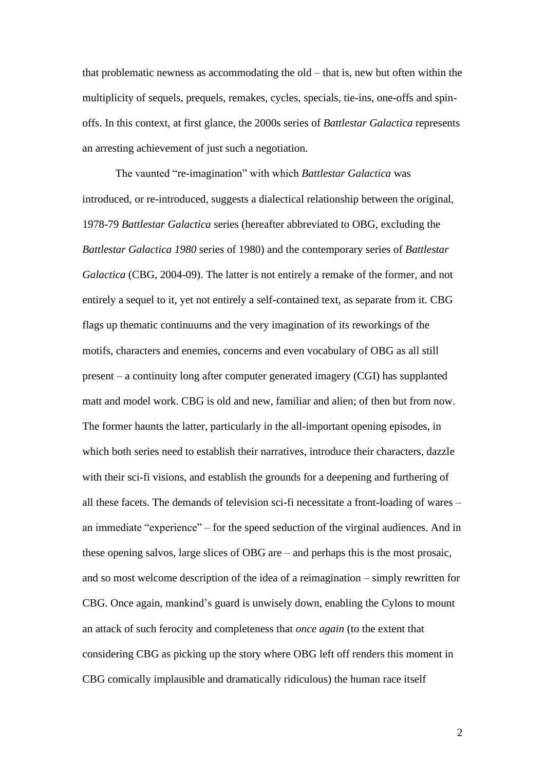that problematic newness as accommodating the old – that is, new but often within the multiplicity of sequels, prequels, remakes, cycles, specials, tie-ins, one-offs and spinoffs. In this context, at first glance, the 2000s series of *Battlestar Galactica* represents an arresting achievement of just such a negotiation.

The vaunted "re-imagination" with which *Battlestar Galactica* was introduced, or re-introduced, suggests a dialectical relationship between the original, 1978-79 *Battlestar Galactica* series (hereafter abbreviated to OBG, excluding the *Battlestar Galactica 1980* series of 1980) and the contemporary series of *Battlestar Galactica* (CBG, 2004-09). The latter is not entirely a remake of the former, and not entirely a sequel to it, yet not entirely a self-contained text, as separate from it. CBG flags up thematic continuums and the very imagination of its reworkings of the motifs, characters and enemies, concerns and even vocabulary of OBG as all still present – a continuity long after computer generated imagery (CGI) has supplanted matt and model work. CBG is old and new, familiar and alien; of then but from now. The former haunts the latter, particularly in the all-important opening episodes, in which both series need to establish their narratives, introduce their characters, dazzle with their sci-fi visions, and establish the grounds for a deepening and furthering of all these facets. The demands of television sci-fi necessitate a front-loading of wares – an immediate "experience" – for the speed seduction of the virginal audiences. And in these opening salvos, large slices of OBG are – and perhaps this is the most prosaic, and so most welcome description of the idea of a reimagination – simply rewritten for CBG. Once again, mankind's guard is unwisely down, enabling the Cylons to mount an attack of such ferocity and completeness that *once again* (to the extent that considering CBG as picking up the story where OBG left off renders this moment in CBG comically implausible and dramatically ridiculous) the human race itself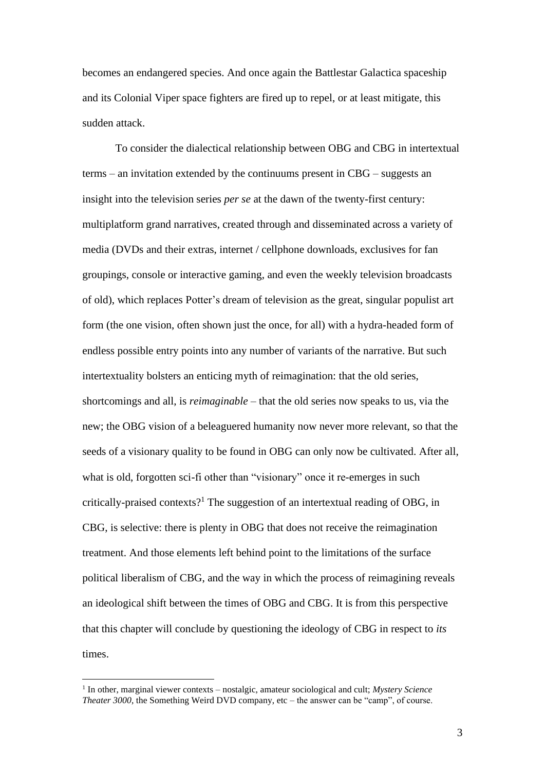becomes an endangered species. And once again the Battlestar Galactica spaceship and its Colonial Viper space fighters are fired up to repel, or at least mitigate, this sudden attack.

To consider the dialectical relationship between OBG and CBG in intertextual terms – an invitation extended by the continuums present in CBG – suggests an insight into the television series *per se* at the dawn of the twenty-first century: multiplatform grand narratives, created through and disseminated across a variety of media (DVDs and their extras, internet / cellphone downloads, exclusives for fan groupings, console or interactive gaming, and even the weekly television broadcasts of old), which replaces Potter's dream of television as the great, singular populist art form (the one vision, often shown just the once, for all) with a hydra-headed form of endless possible entry points into any number of variants of the narrative. But such intertextuality bolsters an enticing myth of reimagination: that the old series, shortcomings and all, is *reimaginable* – that the old series now speaks to us, via the new; the OBG vision of a beleaguered humanity now never more relevant, so that the seeds of a visionary quality to be found in OBG can only now be cultivated. After all, what is old, forgotten sci-fi other than "visionary" once it re-emerges in such critically-praised contexts?<sup>1</sup> The suggestion of an intertextual reading of OBG, in CBG, is selective: there is plenty in OBG that does not receive the reimagination treatment. And those elements left behind point to the limitations of the surface political liberalism of CBG, and the way in which the process of reimagining reveals an ideological shift between the times of OBG and CBG. It is from this perspective that this chapter will conclude by questioning the ideology of CBG in respect to *its* times.

<sup>1</sup> In other, marginal viewer contexts – nostalgic, amateur sociological and cult; *Mystery Science Theater 3000*, the Something Weird DVD company, etc – the answer can be "camp", of course.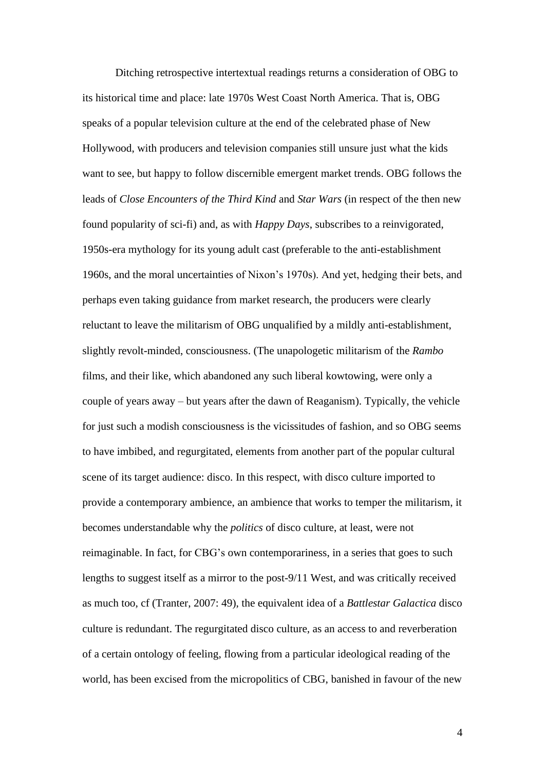Ditching retrospective intertextual readings returns a consideration of OBG to its historical time and place: late 1970s West Coast North America. That is, OBG speaks of a popular television culture at the end of the celebrated phase of New Hollywood, with producers and television companies still unsure just what the kids want to see, but happy to follow discernible emergent market trends. OBG follows the leads of *Close Encounters of the Third Kind* and *Star Wars* (in respect of the then new found popularity of sci-fi) and, as with *Happy Days*, subscribes to a reinvigorated, 1950s-era mythology for its young adult cast (preferable to the anti-establishment 1960s, and the moral uncertainties of Nixon's 1970s). And yet, hedging their bets, and perhaps even taking guidance from market research, the producers were clearly reluctant to leave the militarism of OBG unqualified by a mildly anti-establishment, slightly revolt-minded, consciousness. (The unapologetic militarism of the *Rambo* films, and their like, which abandoned any such liberal kowtowing, were only a couple of years away – but years after the dawn of Reaganism). Typically, the vehicle for just such a modish consciousness is the vicissitudes of fashion, and so OBG seems to have imbibed, and regurgitated, elements from another part of the popular cultural scene of its target audience: disco. In this respect, with disco culture imported to provide a contemporary ambience, an ambience that works to temper the militarism, it becomes understandable why the *politics* of disco culture, at least, were not reimaginable. In fact, for CBG's own contemporariness, in a series that goes to such lengths to suggest itself as a mirror to the post-9/11 West, and was critically received as much too, cf (Tranter, 2007: 49), the equivalent idea of a *Battlestar Galactica* disco culture is redundant. The regurgitated disco culture, as an access to and reverberation of a certain ontology of feeling, flowing from a particular ideological reading of the world, has been excised from the micropolitics of CBG, banished in favour of the new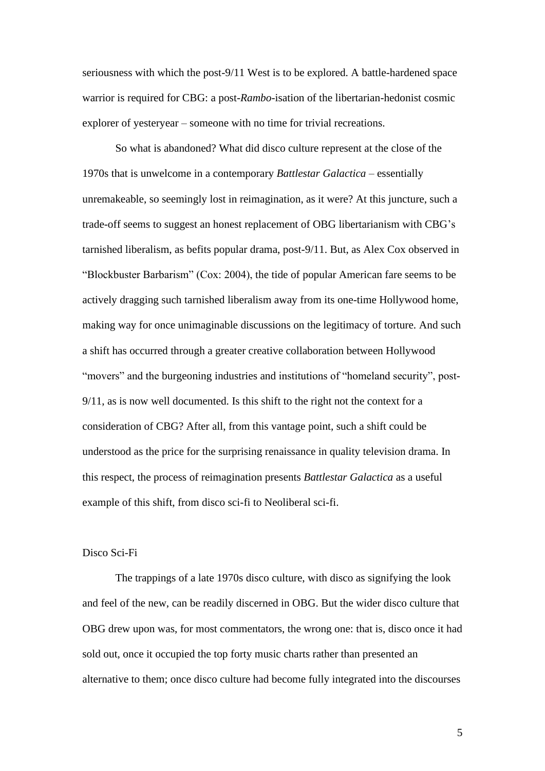seriousness with which the post-9/11 West is to be explored. A battle-hardened space warrior is required for CBG: a post-*Rambo*-isation of the libertarian-hedonist cosmic explorer of yesteryear – someone with no time for trivial recreations.

So what is abandoned? What did disco culture represent at the close of the 1970s that is unwelcome in a contemporary *Battlestar Galactica* – essentially unremakeable, so seemingly lost in reimagination, as it were? At this juncture, such a trade-off seems to suggest an honest replacement of OBG libertarianism with CBG's tarnished liberalism, as befits popular drama, post-9/11. But, as Alex Cox observed in "Blockbuster Barbarism" (Cox: 2004), the tide of popular American fare seems to be actively dragging such tarnished liberalism away from its one-time Hollywood home, making way for once unimaginable discussions on the legitimacy of torture. And such a shift has occurred through a greater creative collaboration between Hollywood "movers" and the burgeoning industries and institutions of "homeland security", post-9/11, as is now well documented. Is this shift to the right not the context for a consideration of CBG? After all, from this vantage point, such a shift could be understood as the price for the surprising renaissance in quality television drama. In this respect, the process of reimagination presents *Battlestar Galactica* as a useful example of this shift, from disco sci-fi to Neoliberal sci-fi.

## Disco Sci-Fi

The trappings of a late 1970s disco culture, with disco as signifying the look and feel of the new, can be readily discerned in OBG. But the wider disco culture that OBG drew upon was, for most commentators, the wrong one: that is, disco once it had sold out, once it occupied the top forty music charts rather than presented an alternative to them; once disco culture had become fully integrated into the discourses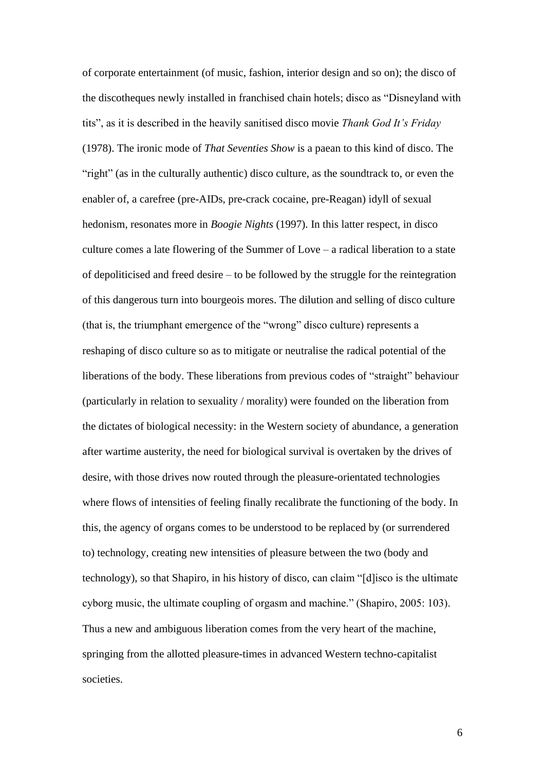of corporate entertainment (of music, fashion, interior design and so on); the disco of the discotheques newly installed in franchised chain hotels; disco as "Disneyland with tits", as it is described in the heavily sanitised disco movie *Thank God It's Friday* (1978). The ironic mode of *That Seventies Show* is a paean to this kind of disco. The "right" (as in the culturally authentic) disco culture, as the soundtrack to, or even the enabler of, a carefree (pre-AIDs, pre-crack cocaine, pre-Reagan) idyll of sexual hedonism, resonates more in *Boogie Nights* (1997). In this latter respect, in disco culture comes a late flowering of the Summer of Love – a radical liberation to a state of depoliticised and freed desire – to be followed by the struggle for the reintegration of this dangerous turn into bourgeois mores. The dilution and selling of disco culture (that is, the triumphant emergence of the "wrong" disco culture) represents a reshaping of disco culture so as to mitigate or neutralise the radical potential of the liberations of the body. These liberations from previous codes of "straight" behaviour (particularly in relation to sexuality / morality) were founded on the liberation from the dictates of biological necessity: in the Western society of abundance, a generation after wartime austerity, the need for biological survival is overtaken by the drives of desire, with those drives now routed through the pleasure-orientated technologies where flows of intensities of feeling finally recalibrate the functioning of the body. In this, the agency of organs comes to be understood to be replaced by (or surrendered to) technology, creating new intensities of pleasure between the two (body and technology), so that Shapiro, in his history of disco, can claim "[d]isco is the ultimate cyborg music, the ultimate coupling of orgasm and machine." (Shapiro, 2005: 103). Thus a new and ambiguous liberation comes from the very heart of the machine, springing from the allotted pleasure-times in advanced Western techno-capitalist societies.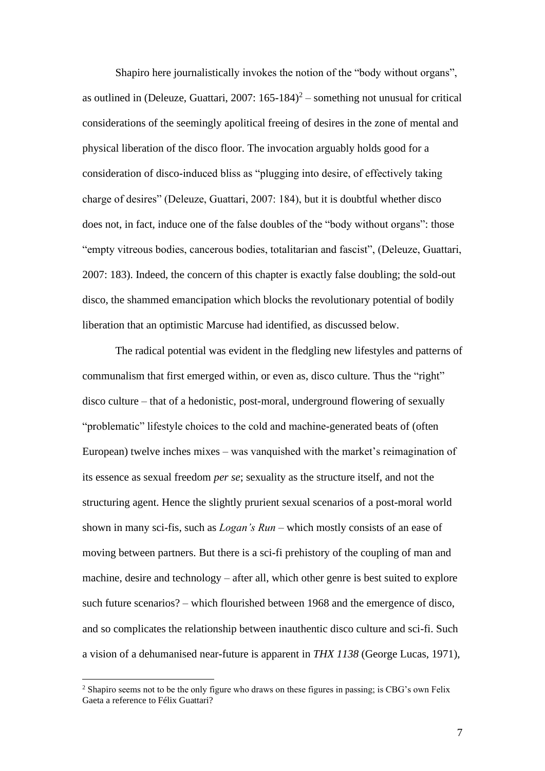Shapiro here journalistically invokes the notion of the "body without organs", as outlined in (Deleuze, Guattari, 2007:  $165-184$ <sup>2</sup> – something not unusual for critical considerations of the seemingly apolitical freeing of desires in the zone of mental and physical liberation of the disco floor. The invocation arguably holds good for a consideration of disco-induced bliss as "plugging into desire, of effectively taking charge of desires" (Deleuze, Guattari, 2007: 184), but it is doubtful whether disco does not, in fact, induce one of the false doubles of the "body without organs": those "empty vitreous bodies, cancerous bodies, totalitarian and fascist", (Deleuze, Guattari, 2007: 183). Indeed, the concern of this chapter is exactly false doubling; the sold-out disco, the shammed emancipation which blocks the revolutionary potential of bodily liberation that an optimistic Marcuse had identified, as discussed below.

The radical potential was evident in the fledgling new lifestyles and patterns of communalism that first emerged within, or even as, disco culture. Thus the "right" disco culture – that of a hedonistic, post-moral, underground flowering of sexually "problematic" lifestyle choices to the cold and machine-generated beats of (often European) twelve inches mixes – was vanquished with the market's reimagination of its essence as sexual freedom *per se*; sexuality as the structure itself, and not the structuring agent. Hence the slightly prurient sexual scenarios of a post-moral world shown in many sci-fis, such as *Logan's Run* – which mostly consists of an ease of moving between partners. But there is a sci-fi prehistory of the coupling of man and machine, desire and technology – after all, which other genre is best suited to explore such future scenarios? – which flourished between 1968 and the emergence of disco, and so complicates the relationship between inauthentic disco culture and sci-fi. Such a vision of a dehumanised near-future is apparent in *THX 1138* (George Lucas, 1971),

<sup>&</sup>lt;sup>2</sup> Shapiro seems not to be the only figure who draws on these figures in passing; is CBG's own Felix Gaeta a reference to Félix Guattari?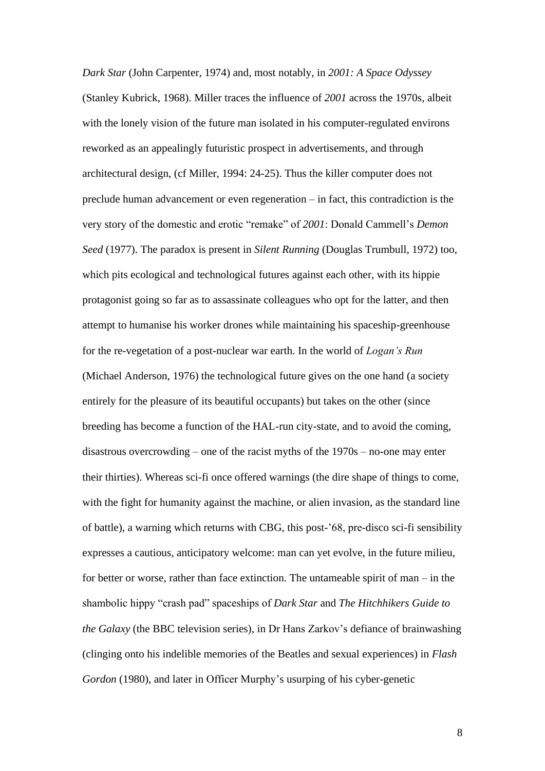*Dark Star* (John Carpenter, 1974) and, most notably, in *2001: A Space Odyssey*  (Stanley Kubrick, 1968). Miller traces the influence of *2001* across the 1970s, albeit with the lonely vision of the future man isolated in his computer-regulated environs reworked as an appealingly futuristic prospect in advertisements, and through architectural design, (cf Miller, 1994: 24-25). Thus the killer computer does not preclude human advancement or even regeneration – in fact, this contradiction is the very story of the domestic and erotic "remake" of *2001*: Donald Cammell's *Demon Seed* (1977). The paradox is present in *Silent Running* (Douglas Trumbull, 1972) too, which pits ecological and technological futures against each other, with its hippie protagonist going so far as to assassinate colleagues who opt for the latter, and then attempt to humanise his worker drones while maintaining his spaceship-greenhouse for the re-vegetation of a post-nuclear war earth. In the world of *Logan's Run* (Michael Anderson, 1976) the technological future gives on the one hand (a society entirely for the pleasure of its beautiful occupants) but takes on the other (since breeding has become a function of the HAL-run city-state, and to avoid the coming, disastrous overcrowding – one of the racist myths of the 1970s – no-one may enter their thirties). Whereas sci-fi once offered warnings (the dire shape of things to come, with the fight for humanity against the machine, or alien invasion, as the standard line of battle), a warning which returns with CBG, this post-'68, pre-disco sci-fi sensibility expresses a cautious, anticipatory welcome: man can yet evolve, in the future milieu, for better or worse, rather than face extinction. The untameable spirit of man – in the shambolic hippy "crash pad" spaceships of *Dark Star* and *The Hitchhikers Guide to the Galaxy* (the BBC television series), in Dr Hans Zarkov's defiance of brainwashing (clinging onto his indelible memories of the Beatles and sexual experiences) in *Flash Gordon* (1980), and later in Officer Murphy's usurping of his cyber-genetic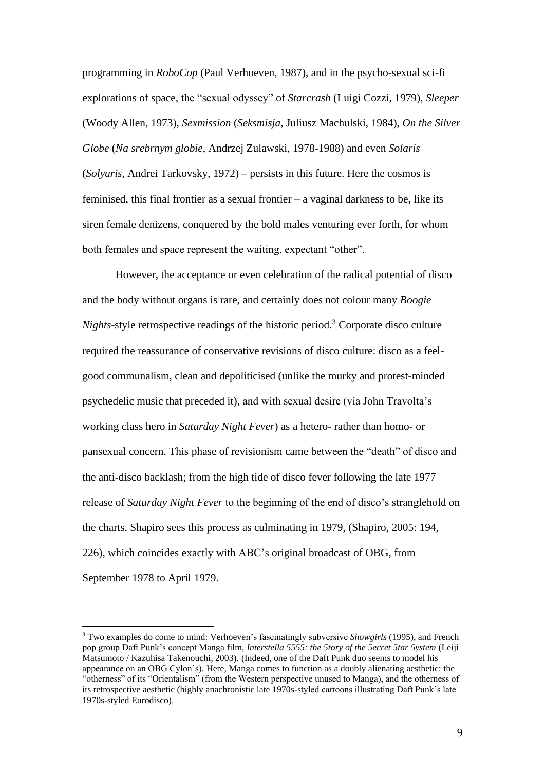programming in *RoboCop* (Paul Verhoeven, 1987), and in the psycho-sexual sci-fi explorations of space, the "sexual odyssey" of *Starcrash* (Luigi Cozzi, 1979), *Sleeper* (Woody Allen, 1973), *Sexmission* (*Seksmisja*, Juliusz Machulski, 1984), *On the Silver Globe* (*Na srebrnym globie*, Andrzej Zulawski, 1978-1988) and even *Solaris*  (*Solyaris*, Andrei Tarkovsky, 1972) – persists in this future. Here the cosmos is feminised, this final frontier as a sexual frontier  $-$  a vaginal darkness to be, like its siren female denizens, conquered by the bold males venturing ever forth, for whom both females and space represent the waiting, expectant "other".

However, the acceptance or even celebration of the radical potential of disco and the body without organs is rare, and certainly does not colour many *Boogie Nights*-style retrospective readings of the historic period. <sup>3</sup> Corporate disco culture required the reassurance of conservative revisions of disco culture: disco as a feelgood communalism, clean and depoliticised (unlike the murky and protest-minded psychedelic music that preceded it), and with sexual desire (via John Travolta's working class hero in *Saturday Night Fever*) as a hetero- rather than homo- or pansexual concern. This phase of revisionism came between the "death" of disco and the anti-disco backlash; from the high tide of disco fever following the late 1977 release of *Saturday Night Fever* to the beginning of the end of disco's stranglehold on the charts. Shapiro sees this process as culminating in 1979, (Shapiro, 2005: 194, 226), which coincides exactly with ABC's original broadcast of OBG, from September 1978 to April 1979.

<sup>3</sup> Two examples do come to mind: Verhoeven's fascinatingly subversive *Showgirls* (1995), and French pop group Daft Punk's concept Manga film, *Interstella 5555: the 5tory of the 5ecret 5tar 5ystem* (Leiji Matsumoto / Kazuhisa Takenouchi, 2003). (Indeed, one of the Daft Punk duo seems to model his appearance on an OBG Cylon's). Here, Manga comes to function as a doubly alienating aesthetic: the "otherness" of its "Orientalism" (from the Western perspective unused to Manga), and the otherness of its retrospective aesthetic (highly anachronistic late 1970s-styled cartoons illustrating Daft Punk's late 1970s-styled Eurodisco).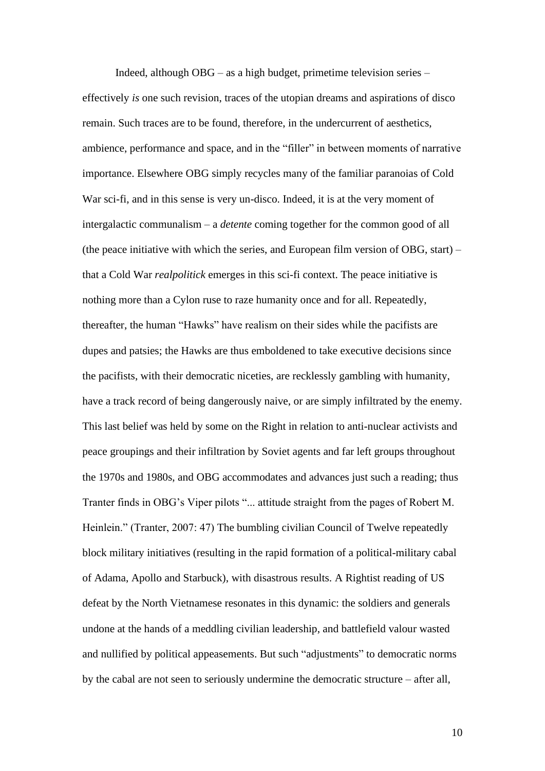Indeed, although OBG – as a high budget, primetime television series – effectively *is* one such revision, traces of the utopian dreams and aspirations of disco remain. Such traces are to be found, therefore, in the undercurrent of aesthetics, ambience, performance and space, and in the "filler" in between moments of narrative importance. Elsewhere OBG simply recycles many of the familiar paranoias of Cold War sci-fi, and in this sense is very un-disco. Indeed, it is at the very moment of intergalactic communalism – a *detente* coming together for the common good of all (the peace initiative with which the series, and European film version of OBG, start) – that a Cold War *realpolitick* emerges in this sci-fi context. The peace initiative is nothing more than a Cylon ruse to raze humanity once and for all. Repeatedly, thereafter, the human "Hawks" have realism on their sides while the pacifists are dupes and patsies; the Hawks are thus emboldened to take executive decisions since the pacifists, with their democratic niceties, are recklessly gambling with humanity, have a track record of being dangerously naive, or are simply infiltrated by the enemy. This last belief was held by some on the Right in relation to anti-nuclear activists and peace groupings and their infiltration by Soviet agents and far left groups throughout the 1970s and 1980s, and OBG accommodates and advances just such a reading; thus Tranter finds in OBG's Viper pilots "... attitude straight from the pages of Robert M. Heinlein." (Tranter, 2007: 47) The bumbling civilian Council of Twelve repeatedly block military initiatives (resulting in the rapid formation of a political-military cabal of Adama, Apollo and Starbuck), with disastrous results. A Rightist reading of US defeat by the North Vietnamese resonates in this dynamic: the soldiers and generals undone at the hands of a meddling civilian leadership, and battlefield valour wasted and nullified by political appeasements. But such "adjustments" to democratic norms by the cabal are not seen to seriously undermine the democratic structure – after all,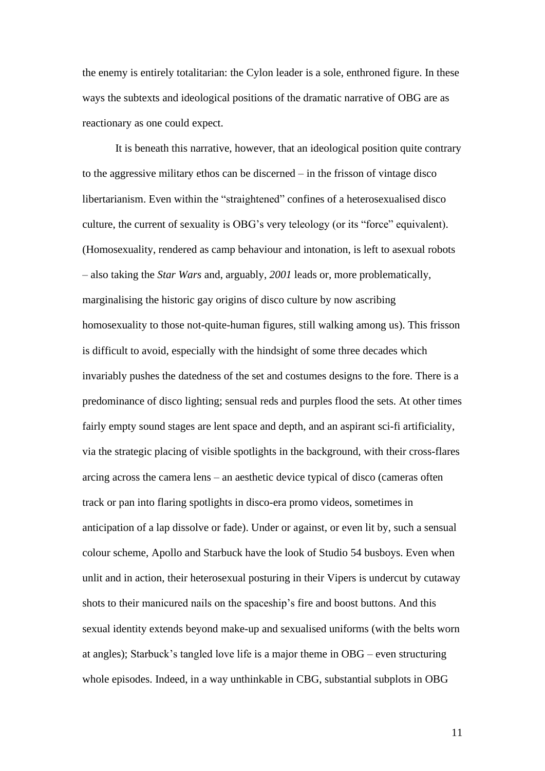the enemy is entirely totalitarian: the Cylon leader is a sole, enthroned figure. In these ways the subtexts and ideological positions of the dramatic narrative of OBG are as reactionary as one could expect.

It is beneath this narrative, however, that an ideological position quite contrary to the aggressive military ethos can be discerned – in the frisson of vintage disco libertarianism. Even within the "straightened" confines of a heterosexualised disco culture, the current of sexuality is OBG's very teleology (or its "force" equivalent). (Homosexuality, rendered as camp behaviour and intonation, is left to asexual robots – also taking the *Star Wars* and, arguably, *2001* leads or, more problematically, marginalising the historic gay origins of disco culture by now ascribing homosexuality to those not-quite-human figures, still walking among us). This frisson is difficult to avoid, especially with the hindsight of some three decades which invariably pushes the datedness of the set and costumes designs to the fore. There is a predominance of disco lighting; sensual reds and purples flood the sets. At other times fairly empty sound stages are lent space and depth, and an aspirant sci-fi artificiality, via the strategic placing of visible spotlights in the background, with their cross-flares arcing across the camera lens – an aesthetic device typical of disco (cameras often track or pan into flaring spotlights in disco-era promo videos, sometimes in anticipation of a lap dissolve or fade). Under or against, or even lit by, such a sensual colour scheme, Apollo and Starbuck have the look of Studio 54 busboys. Even when unlit and in action, their heterosexual posturing in their Vipers is undercut by cutaway shots to their manicured nails on the spaceship's fire and boost buttons. And this sexual identity extends beyond make-up and sexualised uniforms (with the belts worn at angles); Starbuck's tangled love life is a major theme in OBG – even structuring whole episodes. Indeed, in a way unthinkable in CBG, substantial subplots in OBG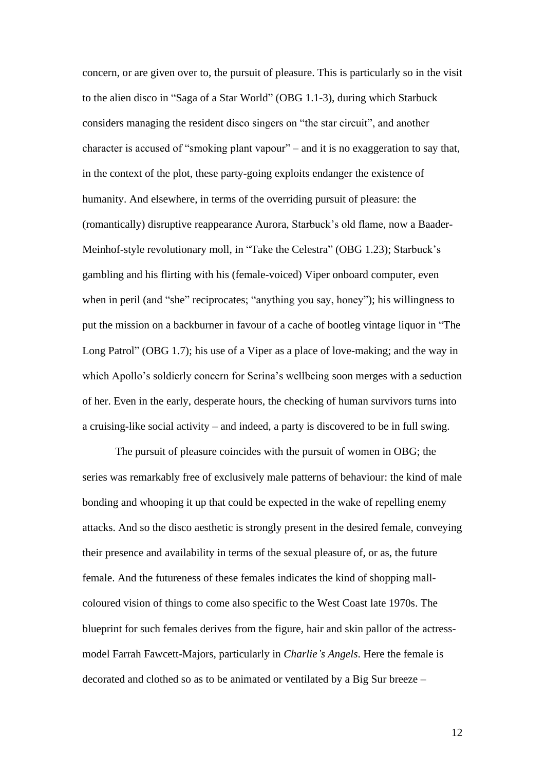concern, or are given over to, the pursuit of pleasure. This is particularly so in the visit to the alien disco in "Saga of a Star World" (OBG 1.1-3), during which Starbuck considers managing the resident disco singers on "the star circuit", and another character is accused of "smoking plant vapour" – and it is no exaggeration to say that, in the context of the plot, these party-going exploits endanger the existence of humanity. And elsewhere, in terms of the overriding pursuit of pleasure: the (romantically) disruptive reappearance Aurora, Starbuck's old flame, now a Baader-Meinhof-style revolutionary moll, in "Take the Celestra" (OBG 1.23); Starbuck's gambling and his flirting with his (female-voiced) Viper onboard computer, even when in peril (and "she" reciprocates; "anything you say, honey"); his willingness to put the mission on a backburner in favour of a cache of bootleg vintage liquor in "The Long Patrol" (OBG 1.7); his use of a Viper as a place of love-making; and the way in which Apollo's soldierly concern for Serina's wellbeing soon merges with a seduction of her. Even in the early, desperate hours, the checking of human survivors turns into a cruising-like social activity – and indeed, a party is discovered to be in full swing.

The pursuit of pleasure coincides with the pursuit of women in OBG; the series was remarkably free of exclusively male patterns of behaviour: the kind of male bonding and whooping it up that could be expected in the wake of repelling enemy attacks. And so the disco aesthetic is strongly present in the desired female, conveying their presence and availability in terms of the sexual pleasure of, or as, the future female. And the futureness of these females indicates the kind of shopping mallcoloured vision of things to come also specific to the West Coast late 1970s. The blueprint for such females derives from the figure, hair and skin pallor of the actressmodel Farrah Fawcett-Majors, particularly in *Charlie's Angels*. Here the female is decorated and clothed so as to be animated or ventilated by a Big Sur breeze –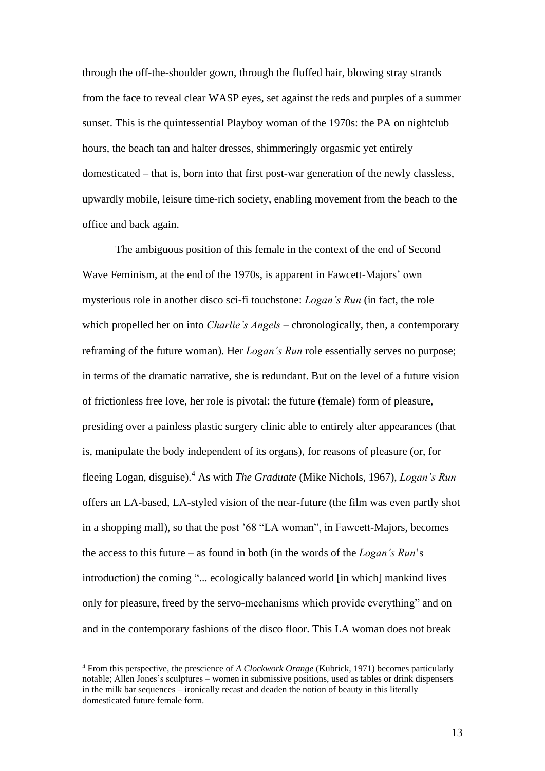through the off-the-shoulder gown, through the fluffed hair, blowing stray strands from the face to reveal clear WASP eyes, set against the reds and purples of a summer sunset. This is the quintessential Playboy woman of the 1970s: the PA on nightclub hours, the beach tan and halter dresses, shimmeringly orgasmic yet entirely domesticated – that is, born into that first post-war generation of the newly classless, upwardly mobile, leisure time-rich society, enabling movement from the beach to the office and back again.

The ambiguous position of this female in the context of the end of Second Wave Feminism, at the end of the 1970s, is apparent in Fawcett-Majors' own mysterious role in another disco sci-fi touchstone: *Logan's Run* (in fact, the role which propelled her on into *Charlie's Angels* – chronologically, then, a contemporary reframing of the future woman). Her *Logan's Run* role essentially serves no purpose; in terms of the dramatic narrative, she is redundant. But on the level of a future vision of frictionless free love, her role is pivotal: the future (female) form of pleasure, presiding over a painless plastic surgery clinic able to entirely alter appearances (that is, manipulate the body independent of its organs), for reasons of pleasure (or, for fleeing Logan, disguise).<sup>4</sup> As with *The Graduate* (Mike Nichols, 1967), *Logan's Run* offers an LA-based, LA-styled vision of the near-future (the film was even partly shot in a shopping mall), so that the post '68 "LA woman", in Fawcett-Majors, becomes the access to this future – as found in both (in the words of the *Logan's Run*'s introduction) the coming "... ecologically balanced world [in which] mankind lives only for pleasure, freed by the servo-mechanisms which provide everything" and on and in the contemporary fashions of the disco floor. This LA woman does not break

<sup>4</sup> From this perspective, the prescience of *A Clockwork Orange* (Kubrick, 1971) becomes particularly notable; Allen Jones's sculptures – women in submissive positions, used as tables or drink dispensers in the milk bar sequences – ironically recast and deaden the notion of beauty in this literally domesticated future female form.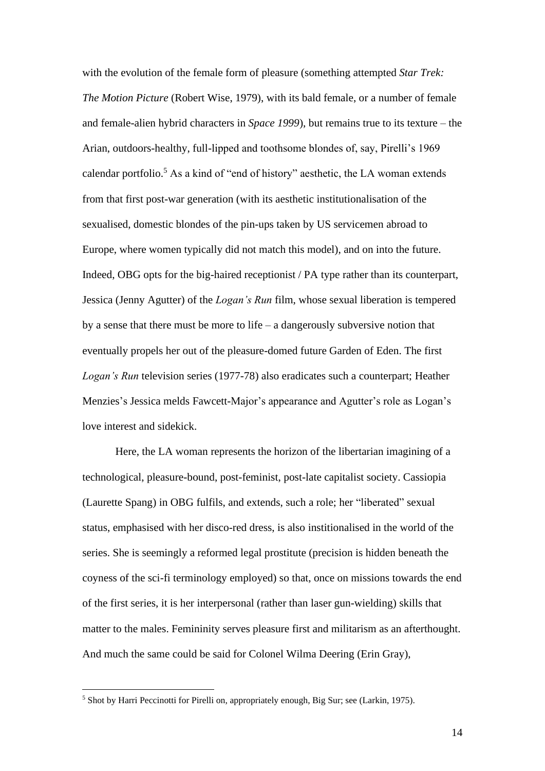with the evolution of the female form of pleasure (something attempted *Star Trek: The Motion Picture* (Robert Wise, 1979), with its bald female, or a number of female and female-alien hybrid characters in *Space 1999*), but remains true to its texture – the Arian, outdoors-healthy, full-lipped and toothsome blondes of, say, Pirelli's 1969 calendar portfolio.<sup>5</sup> As a kind of "end of history" aesthetic, the LA woman extends from that first post-war generation (with its aesthetic institutionalisation of the sexualised, domestic blondes of the pin-ups taken by US servicemen abroad to Europe, where women typically did not match this model), and on into the future. Indeed, OBG opts for the big-haired receptionist / PA type rather than its counterpart, Jessica (Jenny Agutter) of the *Logan's Run* film, whose sexual liberation is tempered by a sense that there must be more to life – a dangerously subversive notion that eventually propels her out of the pleasure-domed future Garden of Eden. The first *Logan's Run* television series (1977-78) also eradicates such a counterpart; Heather Menzies's Jessica melds Fawcett-Major's appearance and Agutter's role as Logan's love interest and sidekick.

Here, the LA woman represents the horizon of the libertarian imagining of a technological, pleasure-bound, post-feminist, post-late capitalist society. Cassiopia (Laurette Spang) in OBG fulfils, and extends, such a role; her "liberated" sexual status, emphasised with her disco-red dress, is also institionalised in the world of the series. She is seemingly a reformed legal prostitute (precision is hidden beneath the coyness of the sci-fi terminology employed) so that, once on missions towards the end of the first series, it is her interpersonal (rather than laser gun-wielding) skills that matter to the males. Femininity serves pleasure first and militarism as an afterthought. And much the same could be said for Colonel Wilma Deering (Erin Gray),

<sup>&</sup>lt;sup>5</sup> Shot by Harri Peccinotti for Pirelli on, appropriately enough, Big Sur; see (Larkin, 1975).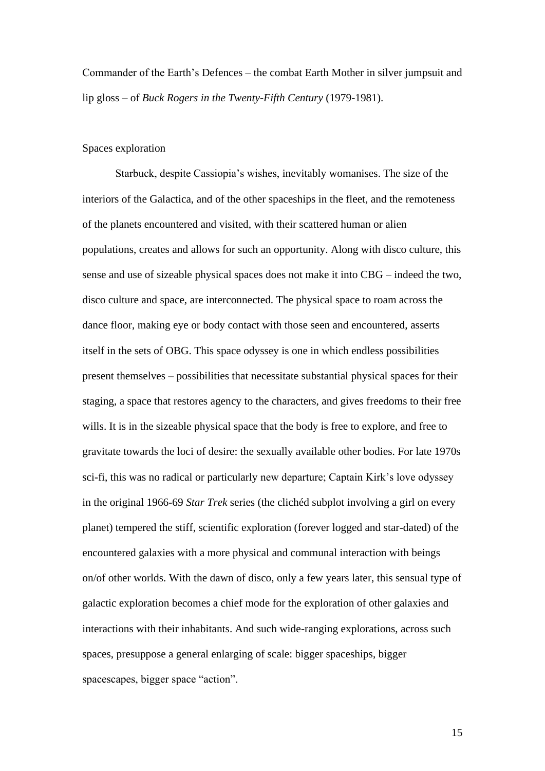Commander of the Earth's Defences – the combat Earth Mother in silver jumpsuit and lip gloss – of *Buck Rogers in the Twenty-Fifth Century* (1979-1981).

### Spaces exploration

Starbuck, despite Cassiopia's wishes, inevitably womanises. The size of the interiors of the Galactica, and of the other spaceships in the fleet, and the remoteness of the planets encountered and visited, with their scattered human or alien populations, creates and allows for such an opportunity. Along with disco culture, this sense and use of sizeable physical spaces does not make it into CBG – indeed the two, disco culture and space, are interconnected. The physical space to roam across the dance floor, making eye or body contact with those seen and encountered, asserts itself in the sets of OBG. This space odyssey is one in which endless possibilities present themselves – possibilities that necessitate substantial physical spaces for their staging, a space that restores agency to the characters, and gives freedoms to their free wills. It is in the sizeable physical space that the body is free to explore, and free to gravitate towards the loci of desire: the sexually available other bodies. For late 1970s sci-fi, this was no radical or particularly new departure; Captain Kirk's love odyssey in the original 1966-69 *Star Trek* series (the clichéd subplot involving a girl on every planet) tempered the stiff, scientific exploration (forever logged and star-dated) of the encountered galaxies with a more physical and communal interaction with beings on/of other worlds. With the dawn of disco, only a few years later, this sensual type of galactic exploration becomes a chief mode for the exploration of other galaxies and interactions with their inhabitants. And such wide-ranging explorations, across such spaces, presuppose a general enlarging of scale: bigger spaceships, bigger spacescapes, bigger space "action".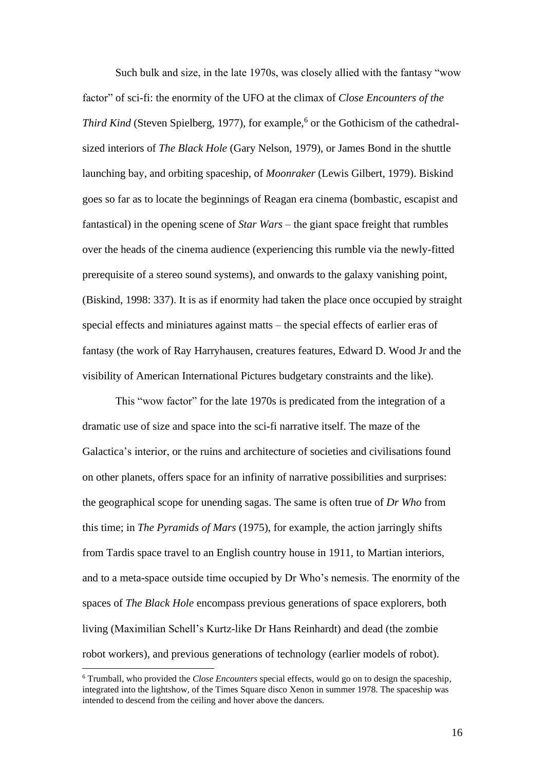Such bulk and size, in the late 1970s, was closely allied with the fantasy "wow factor" of sci-fi: the enormity of the UFO at the climax of *Close Encounters of the*  Third Kind (Steven Spielberg, 1977), for example,<sup>6</sup> or the Gothicism of the cathedralsized interiors of *The Black Hole* (Gary Nelson, 1979), or James Bond in the shuttle launching bay, and orbiting spaceship, of *Moonraker* (Lewis Gilbert, 1979). Biskind goes so far as to locate the beginnings of Reagan era cinema (bombastic, escapist and fantastical) in the opening scene of *Star Wars* – the giant space freight that rumbles over the heads of the cinema audience (experiencing this rumble via the newly-fitted prerequisite of a stereo sound systems), and onwards to the galaxy vanishing point, (Biskind, 1998: 337). It is as if enormity had taken the place once occupied by straight special effects and miniatures against matts – the special effects of earlier eras of fantasy (the work of Ray Harryhausen, creatures features, Edward D. Wood Jr and the visibility of American International Pictures budgetary constraints and the like).

This "wow factor" for the late 1970s is predicated from the integration of a dramatic use of size and space into the sci-fi narrative itself. The maze of the Galactica's interior, or the ruins and architecture of societies and civilisations found on other planets, offers space for an infinity of narrative possibilities and surprises: the geographical scope for unending sagas. The same is often true of *Dr Who* from this time; in *The Pyramids of Mars* (1975), for example, the action jarringly shifts from Tardis space travel to an English country house in 1911, to Martian interiors, and to a meta-space outside time occupied by Dr Who's nemesis. The enormity of the spaces of *The Black Hole* encompass previous generations of space explorers, both living (Maximilian Schell's Kurtz-like Dr Hans Reinhardt) and dead (the zombie robot workers), and previous generations of technology (earlier models of robot).

<sup>6</sup> Trumball, who provided the *Close Encounters* special effects, would go on to design the spaceship, integrated into the lightshow, of the Times Square disco Xenon in summer 1978. The spaceship was intended to descend from the ceiling and hover above the dancers.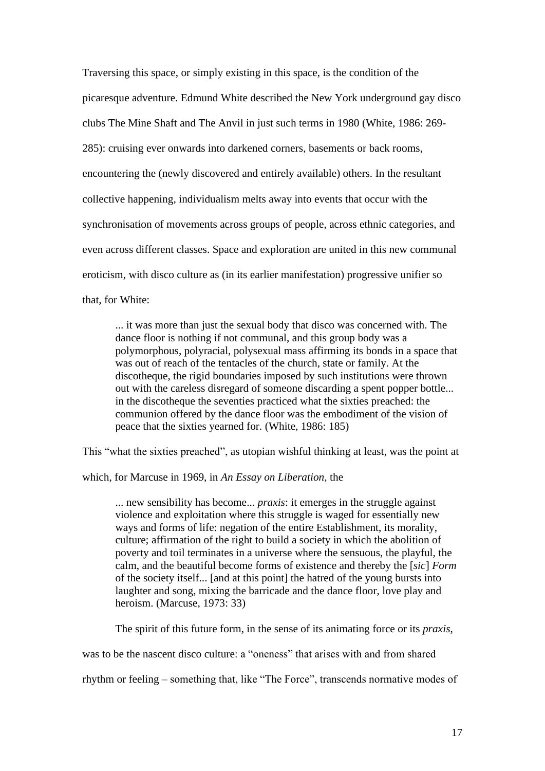Traversing this space, or simply existing in this space, is the condition of the picaresque adventure. Edmund White described the New York underground gay disco clubs The Mine Shaft and The Anvil in just such terms in 1980 (White, 1986: 269- 285): cruising ever onwards into darkened corners, basements or back rooms, encountering the (newly discovered and entirely available) others. In the resultant collective happening, individualism melts away into events that occur with the synchronisation of movements across groups of people, across ethnic categories, and even across different classes. Space and exploration are united in this new communal eroticism, with disco culture as (in its earlier manifestation) progressive unifier so that, for White:

... it was more than just the sexual body that disco was concerned with. The dance floor is nothing if not communal, and this group body was a polymorphous, polyracial, polysexual mass affirming its bonds in a space that was out of reach of the tentacles of the church, state or family. At the discotheque, the rigid boundaries imposed by such institutions were thrown out with the careless disregard of someone discarding a spent popper bottle... in the discotheque the seventies practiced what the sixties preached: the communion offered by the dance floor was the embodiment of the vision of peace that the sixties yearned for. (White, 1986: 185)

This "what the sixties preached", as utopian wishful thinking at least, was the point at

which, for Marcuse in 1969, in *An Essay on Liberation*, the

... new sensibility has become... *praxis*: it emerges in the struggle against violence and exploitation where this struggle is waged for essentially new ways and forms of life: negation of the entire Establishment, its morality, culture; affirmation of the right to build a society in which the abolition of poverty and toil terminates in a universe where the sensuous, the playful, the calm, and the beautiful become forms of existence and thereby the [*sic*] *Form*  of the society itself... [and at this point] the hatred of the young bursts into laughter and song, mixing the barricade and the dance floor, love play and heroism. (Marcuse, 1973: 33)

The spirit of this future form, in the sense of its animating force or its *praxis*,

was to be the nascent disco culture: a "oneness" that arises with and from shared

rhythm or feeling – something that, like "The Force", transcends normative modes of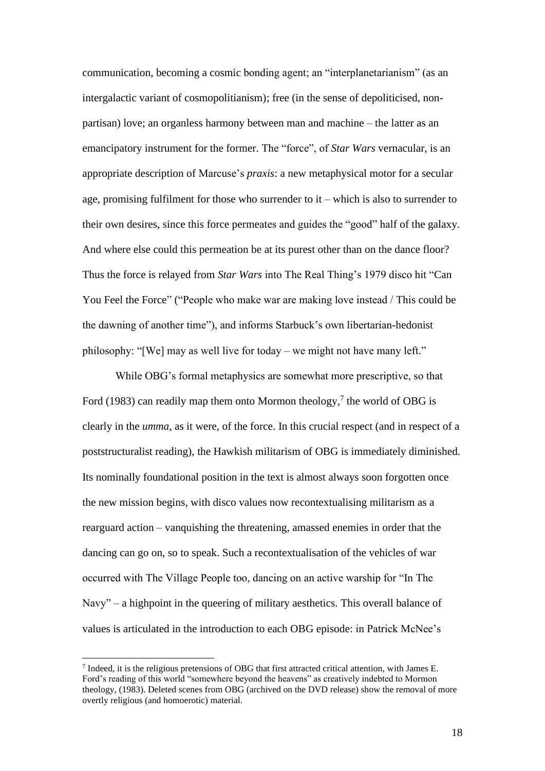communication, becoming a cosmic bonding agent; an "interplanetarianism" (as an intergalactic variant of cosmopolitianism); free (in the sense of depoliticised, nonpartisan) love; an organless harmony between man and machine – the latter as an emancipatory instrument for the former. The "force", of *Star Wars* vernacular, is an appropriate description of Marcuse's *praxis*: a new metaphysical motor for a secular age, promising fulfilment for those who surrender to it – which is also to surrender to their own desires, since this force permeates and guides the "good" half of the galaxy. And where else could this permeation be at its purest other than on the dance floor? Thus the force is relayed from *Star Wars* into The Real Thing's 1979 disco hit "Can You Feel the Force" ("People who make war are making love instead / This could be the dawning of another time"), and informs Starbuck's own libertarian-hedonist philosophy: "[We] may as well live for today – we might not have many left."

While OBG's formal metaphysics are somewhat more prescriptive, so that Ford (1983) can readily map them onto Mormon theology,<sup>7</sup> the world of OBG is clearly in the *umma*, as it were, of the force. In this crucial respect (and in respect of a poststructuralist reading), the Hawkish militarism of OBG is immediately diminished. Its nominally foundational position in the text is almost always soon forgotten once the new mission begins, with disco values now recontextualising militarism as a rearguard action – vanquishing the threatening, amassed enemies in order that the dancing can go on, so to speak. Such a recontextualisation of the vehicles of war occurred with The Village People too, dancing on an active warship for "In The Navy" – a highpoint in the queering of military aesthetics. This overall balance of values is articulated in the introduction to each OBG episode: in Patrick McNee's

<sup>7</sup> Indeed, it is the religious pretensions of OBG that first attracted critical attention, with James E. Ford's reading of this world "somewhere beyond the heavens" as creatively indebted to Mormon theology, (1983). Deleted scenes from OBG (archived on the DVD release) show the removal of more overtly religious (and homoerotic) material.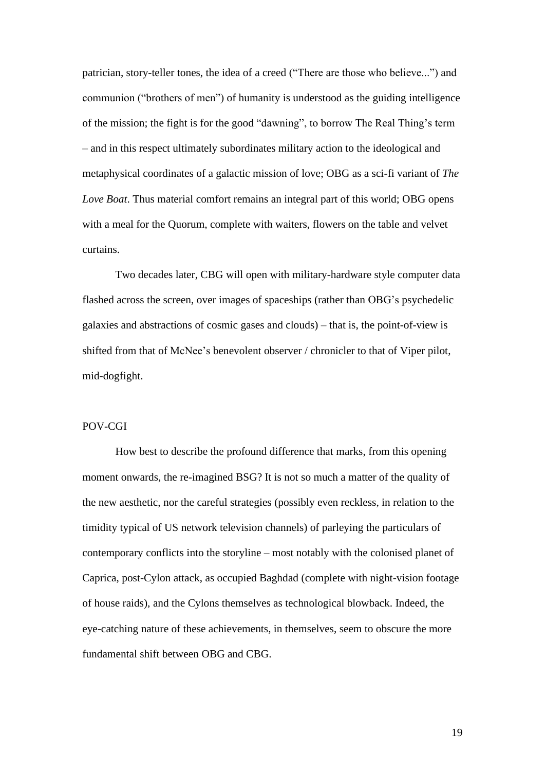patrician, story-teller tones, the idea of a creed ("There are those who believe...") and communion ("brothers of men") of humanity is understood as the guiding intelligence of the mission; the fight is for the good "dawning", to borrow The Real Thing's term – and in this respect ultimately subordinates military action to the ideological and metaphysical coordinates of a galactic mission of love; OBG as a sci-fi variant of *The Love Boat*. Thus material comfort remains an integral part of this world; OBG opens with a meal for the Quorum, complete with waiters, flowers on the table and velvet curtains.

Two decades later, CBG will open with military-hardware style computer data flashed across the screen, over images of spaceships (rather than OBG's psychedelic galaxies and abstractions of cosmic gases and clouds) – that is, the point-of-view is shifted from that of McNee's benevolent observer / chronicler to that of Viper pilot, mid-dogfight.

# POV-CGI

How best to describe the profound difference that marks, from this opening moment onwards, the re-imagined BSG? It is not so much a matter of the quality of the new aesthetic, nor the careful strategies (possibly even reckless, in relation to the timidity typical of US network television channels) of parleying the particulars of contemporary conflicts into the storyline – most notably with the colonised planet of Caprica, post-Cylon attack, as occupied Baghdad (complete with night-vision footage of house raids), and the Cylons themselves as technological blowback. Indeed, the eye-catching nature of these achievements, in themselves, seem to obscure the more fundamental shift between OBG and CBG.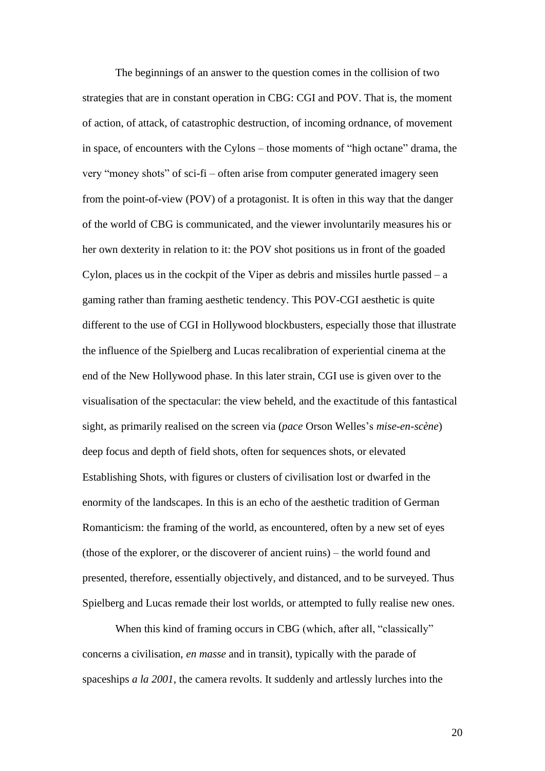The beginnings of an answer to the question comes in the collision of two strategies that are in constant operation in CBG: CGI and POV. That is, the moment of action, of attack, of catastrophic destruction, of incoming ordnance, of movement in space, of encounters with the Cylons – those moments of "high octane" drama, the very "money shots" of sci-fi – often arise from computer generated imagery seen from the point-of-view (POV) of a protagonist. It is often in this way that the danger of the world of CBG is communicated, and the viewer involuntarily measures his or her own dexterity in relation to it: the POV shot positions us in front of the goaded Cylon, places us in the cockpit of the Viper as debris and missiles hurtle passed  $- a$ gaming rather than framing aesthetic tendency. This POV-CGI aesthetic is quite different to the use of CGI in Hollywood blockbusters, especially those that illustrate the influence of the Spielberg and Lucas recalibration of experiential cinema at the end of the New Hollywood phase. In this later strain, CGI use is given over to the visualisation of the spectacular: the view beheld, and the exactitude of this fantastical sight, as primarily realised on the screen via (*pace* Orson Welles's *mise-en-scène*) deep focus and depth of field shots, often for sequences shots, or elevated Establishing Shots, with figures or clusters of civilisation lost or dwarfed in the enormity of the landscapes. In this is an echo of the aesthetic tradition of German Romanticism: the framing of the world, as encountered, often by a new set of eyes (those of the explorer, or the discoverer of ancient ruins) – the world found and presented, therefore, essentially objectively, and distanced, and to be surveyed. Thus Spielberg and Lucas remade their lost worlds, or attempted to fully realise new ones.

When this kind of framing occurs in CBG (which, after all, "classically" concerns a civilisation, *en masse* and in transit), typically with the parade of spaceships *a la 2001*, the camera revolts. It suddenly and artlessly lurches into the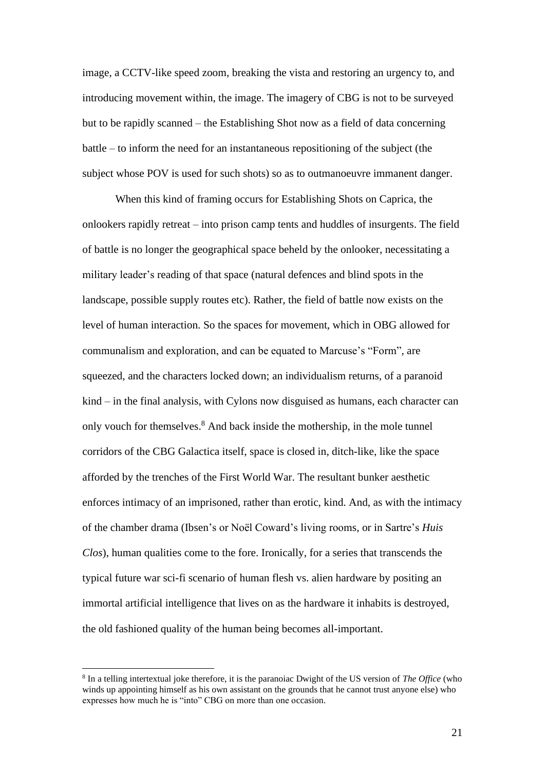image, a CCTV-like speed zoom, breaking the vista and restoring an urgency to, and introducing movement within, the image. The imagery of CBG is not to be surveyed but to be rapidly scanned – the Establishing Shot now as a field of data concerning battle – to inform the need for an instantaneous repositioning of the subject (the subject whose POV is used for such shots) so as to outmanoeuvre immanent danger.

When this kind of framing occurs for Establishing Shots on Caprica, the onlookers rapidly retreat – into prison camp tents and huddles of insurgents. The field of battle is no longer the geographical space beheld by the onlooker, necessitating a military leader's reading of that space (natural defences and blind spots in the landscape, possible supply routes etc). Rather, the field of battle now exists on the level of human interaction. So the spaces for movement, which in OBG allowed for communalism and exploration, and can be equated to Marcuse's "Form", are squeezed, and the characters locked down; an individualism returns, of a paranoid kind – in the final analysis, with Cylons now disguised as humans, each character can only vouch for themselves.<sup>8</sup> And back inside the mothership, in the mole tunnel corridors of the CBG Galactica itself, space is closed in, ditch-like, like the space afforded by the trenches of the First World War. The resultant bunker aesthetic enforces intimacy of an imprisoned, rather than erotic, kind. And, as with the intimacy of the chamber drama (Ibsen's or Noël Coward's living rooms, or in Sartre's *Huis Clos*), human qualities come to the fore. Ironically, for a series that transcends the typical future war sci-fi scenario of human flesh vs. alien hardware by positing an immortal artificial intelligence that lives on as the hardware it inhabits is destroyed, the old fashioned quality of the human being becomes all-important.

<sup>8</sup> In a telling intertextual joke therefore, it is the paranoiac Dwight of the US version of *The Office* (who winds up appointing himself as his own assistant on the grounds that he cannot trust anyone else) who expresses how much he is "into" CBG on more than one occasion.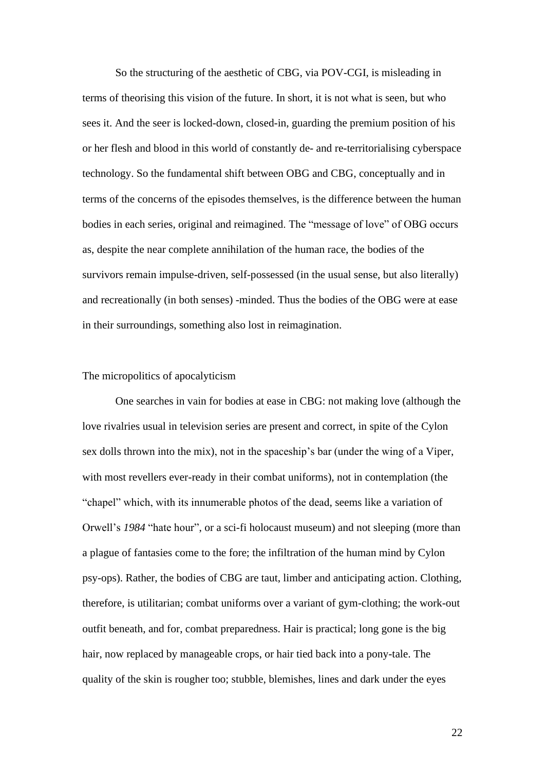So the structuring of the aesthetic of CBG, via POV-CGI, is misleading in terms of theorising this vision of the future. In short, it is not what is seen, but who sees it. And the seer is locked-down, closed-in, guarding the premium position of his or her flesh and blood in this world of constantly de- and re-territorialising cyberspace technology. So the fundamental shift between OBG and CBG, conceptually and in terms of the concerns of the episodes themselves, is the difference between the human bodies in each series, original and reimagined. The "message of love" of OBG occurs as, despite the near complete annihilation of the human race, the bodies of the survivors remain impulse-driven, self-possessed (in the usual sense, but also literally) and recreationally (in both senses) -minded. Thus the bodies of the OBG were at ease in their surroundings, something also lost in reimagination.

### The micropolitics of apocalyticism

One searches in vain for bodies at ease in CBG: not making love (although the love rivalries usual in television series are present and correct, in spite of the Cylon sex dolls thrown into the mix), not in the spaceship's bar (under the wing of a Viper, with most revellers ever-ready in their combat uniforms), not in contemplation (the "chapel" which, with its innumerable photos of the dead, seems like a variation of Orwell's *1984* "hate hour", or a sci-fi holocaust museum) and not sleeping (more than a plague of fantasies come to the fore; the infiltration of the human mind by Cylon psy-ops). Rather, the bodies of CBG are taut, limber and anticipating action. Clothing, therefore, is utilitarian; combat uniforms over a variant of gym-clothing; the work-out outfit beneath, and for, combat preparedness. Hair is practical; long gone is the big hair, now replaced by manageable crops, or hair tied back into a pony-tale. The quality of the skin is rougher too; stubble, blemishes, lines and dark under the eyes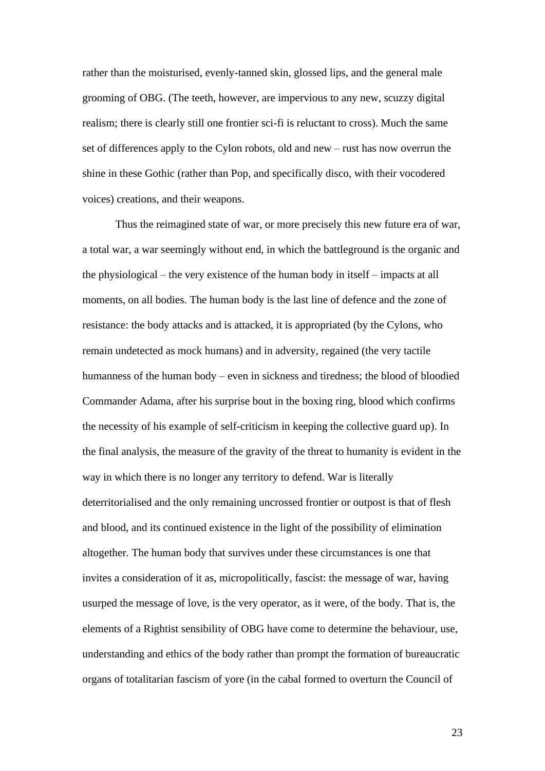rather than the moisturised, evenly-tanned skin, glossed lips, and the general male grooming of OBG. (The teeth, however, are impervious to any new, scuzzy digital realism; there is clearly still one frontier sci-fi is reluctant to cross). Much the same set of differences apply to the Cylon robots, old and new – rust has now overrun the shine in these Gothic (rather than Pop, and specifically disco, with their vocodered voices) creations, and their weapons.

Thus the reimagined state of war, or more precisely this new future era of war, a total war, a war seemingly without end, in which the battleground is the organic and the physiological – the very existence of the human body in itself – impacts at all moments, on all bodies. The human body is the last line of defence and the zone of resistance: the body attacks and is attacked, it is appropriated (by the Cylons, who remain undetected as mock humans) and in adversity, regained (the very tactile humanness of the human body – even in sickness and tiredness; the blood of bloodied Commander Adama, after his surprise bout in the boxing ring, blood which confirms the necessity of his example of self-criticism in keeping the collective guard up). In the final analysis, the measure of the gravity of the threat to humanity is evident in the way in which there is no longer any territory to defend. War is literally deterritorialised and the only remaining uncrossed frontier or outpost is that of flesh and blood, and its continued existence in the light of the possibility of elimination altogether. The human body that survives under these circumstances is one that invites a consideration of it as, micropolitically, fascist: the message of war, having usurped the message of love, is the very operator, as it were, of the body. That is, the elements of a Rightist sensibility of OBG have come to determine the behaviour, use, understanding and ethics of the body rather than prompt the formation of bureaucratic organs of totalitarian fascism of yore (in the cabal formed to overturn the Council of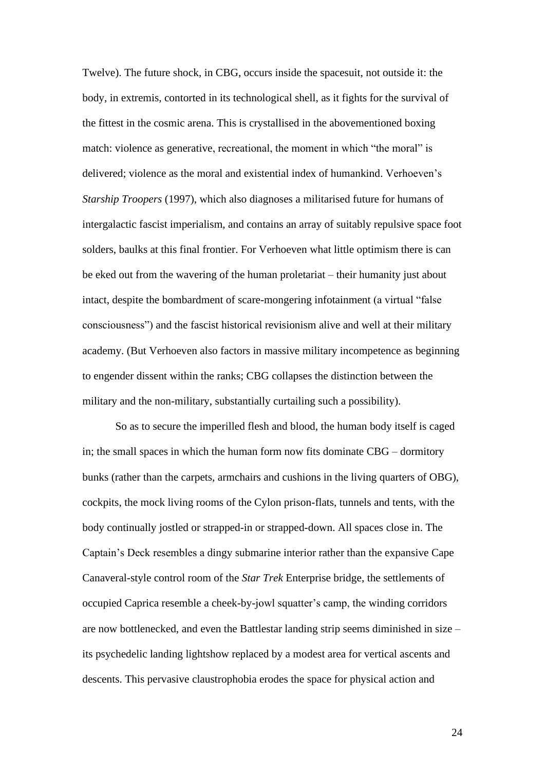Twelve). The future shock, in CBG, occurs inside the spacesuit, not outside it: the body, in extremis, contorted in its technological shell, as it fights for the survival of the fittest in the cosmic arena. This is crystallised in the abovementioned boxing match: violence as generative, recreational, the moment in which "the moral" is delivered; violence as the moral and existential index of humankind. Verhoeven's *Starship Troopers* (1997), which also diagnoses a militarised future for humans of intergalactic fascist imperialism, and contains an array of suitably repulsive space foot solders, baulks at this final frontier. For Verhoeven what little optimism there is can be eked out from the wavering of the human proletariat – their humanity just about intact, despite the bombardment of scare-mongering infotainment (a virtual "false consciousness") and the fascist historical revisionism alive and well at their military academy. (But Verhoeven also factors in massive military incompetence as beginning to engender dissent within the ranks; CBG collapses the distinction between the military and the non-military, substantially curtailing such a possibility).

So as to secure the imperilled flesh and blood, the human body itself is caged in; the small spaces in which the human form now fits dominate CBG – dormitory bunks (rather than the carpets, armchairs and cushions in the living quarters of OBG), cockpits, the mock living rooms of the Cylon prison-flats, tunnels and tents, with the body continually jostled or strapped-in or strapped-down. All spaces close in. The Captain's Deck resembles a dingy submarine interior rather than the expansive Cape Canaveral-style control room of the *Star Trek* Enterprise bridge, the settlements of occupied Caprica resemble a cheek-by-jowl squatter's camp, the winding corridors are now bottlenecked, and even the Battlestar landing strip seems diminished in size – its psychedelic landing lightshow replaced by a modest area for vertical ascents and descents. This pervasive claustrophobia erodes the space for physical action and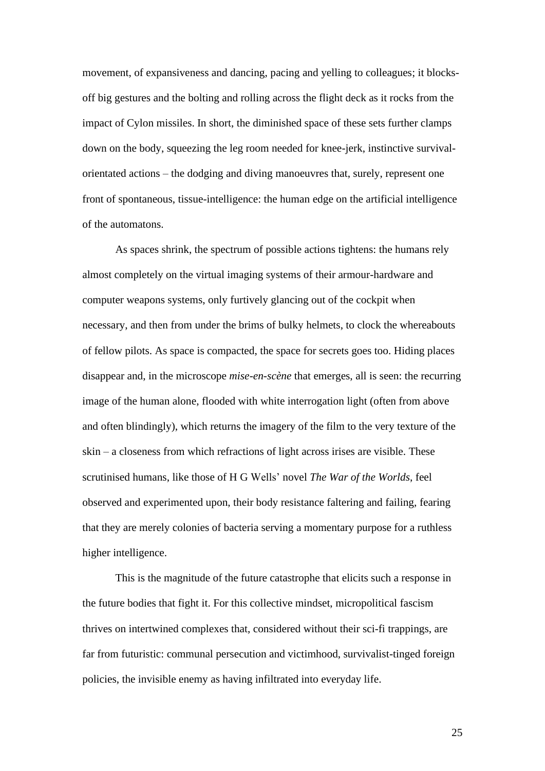movement, of expansiveness and dancing, pacing and yelling to colleagues; it blocksoff big gestures and the bolting and rolling across the flight deck as it rocks from the impact of Cylon missiles. In short, the diminished space of these sets further clamps down on the body, squeezing the leg room needed for knee-jerk, instinctive survivalorientated actions – the dodging and diving manoeuvres that, surely, represent one front of spontaneous, tissue-intelligence: the human edge on the artificial intelligence of the automatons.

As spaces shrink, the spectrum of possible actions tightens: the humans rely almost completely on the virtual imaging systems of their armour-hardware and computer weapons systems, only furtively glancing out of the cockpit when necessary, and then from under the brims of bulky helmets, to clock the whereabouts of fellow pilots. As space is compacted, the space for secrets goes too. Hiding places disappear and, in the microscope *mise-en-scène* that emerges, all is seen: the recurring image of the human alone, flooded with white interrogation light (often from above and often blindingly), which returns the imagery of the film to the very texture of the skin – a closeness from which refractions of light across irises are visible. These scrutinised humans, like those of H G Wells' novel *The War of the Worlds*, feel observed and experimented upon, their body resistance faltering and failing, fearing that they are merely colonies of bacteria serving a momentary purpose for a ruthless higher intelligence.

This is the magnitude of the future catastrophe that elicits such a response in the future bodies that fight it. For this collective mindset, micropolitical fascism thrives on intertwined complexes that, considered without their sci-fi trappings, are far from futuristic: communal persecution and victimhood, survivalist-tinged foreign policies, the invisible enemy as having infiltrated into everyday life.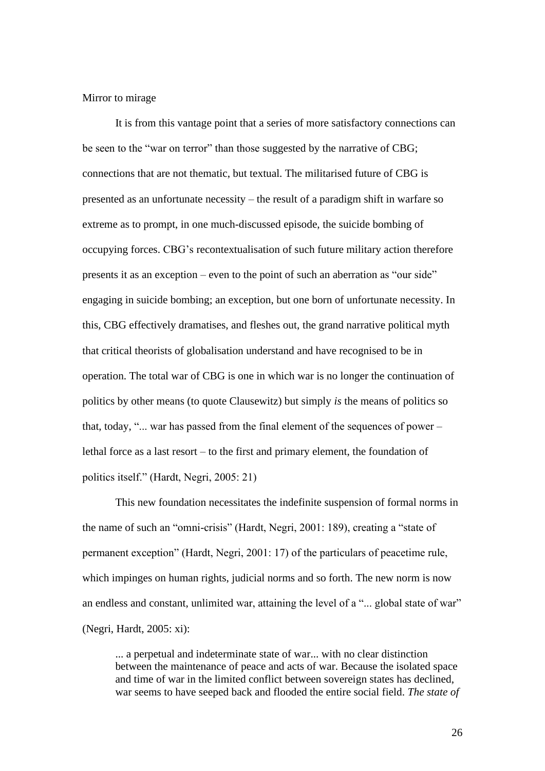### Mirror to mirage

It is from this vantage point that a series of more satisfactory connections can be seen to the "war on terror" than those suggested by the narrative of CBG; connections that are not thematic, but textual. The militarised future of CBG is presented as an unfortunate necessity – the result of a paradigm shift in warfare so extreme as to prompt, in one much-discussed episode, the suicide bombing of occupying forces. CBG's recontextualisation of such future military action therefore presents it as an exception – even to the point of such an aberration as "our side" engaging in suicide bombing; an exception, but one born of unfortunate necessity. In this, CBG effectively dramatises, and fleshes out, the grand narrative political myth that critical theorists of globalisation understand and have recognised to be in operation. The total war of CBG is one in which war is no longer the continuation of politics by other means (to quote Clausewitz) but simply *is* the means of politics so that, today, "... war has passed from the final element of the sequences of power – lethal force as a last resort – to the first and primary element, the foundation of politics itself." (Hardt, Negri, 2005: 21)

This new foundation necessitates the indefinite suspension of formal norms in the name of such an "omni-crisis" (Hardt, Negri, 2001: 189), creating a "state of permanent exception" (Hardt, Negri, 2001: 17) of the particulars of peacetime rule, which impinges on human rights, judicial norms and so forth. The new norm is now an endless and constant, unlimited war, attaining the level of a "... global state of war" (Negri, Hardt, 2005: xi):

... a perpetual and indeterminate state of war... with no clear distinction between the maintenance of peace and acts of war. Because the isolated space and time of war in the limited conflict between sovereign states has declined, war seems to have seeped back and flooded the entire social field. *The state of*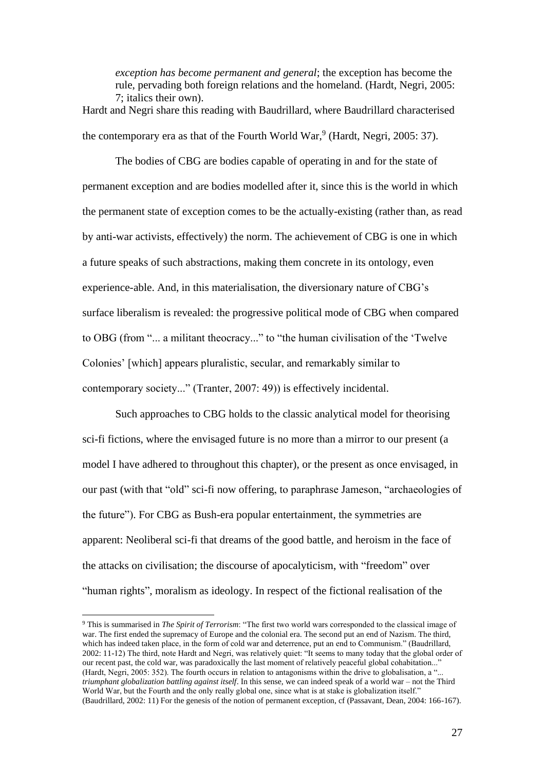*exception has become permanent and general*; the exception has become the rule, pervading both foreign relations and the homeland. (Hardt, Negri, 2005: 7; italics their own).

Hardt and Negri share this reading with Baudrillard, where Baudrillard characterised the contemporary era as that of the Fourth World War,<sup>9</sup> (Hardt, Negri, 2005: 37).

The bodies of CBG are bodies capable of operating in and for the state of permanent exception and are bodies modelled after it, since this is the world in which the permanent state of exception comes to be the actually-existing (rather than, as read by anti-war activists, effectively) the norm. The achievement of CBG is one in which a future speaks of such abstractions, making them concrete in its ontology, even experience-able. And, in this materialisation, the diversionary nature of CBG's surface liberalism is revealed: the progressive political mode of CBG when compared to OBG (from "... a militant theocracy..." to "the human civilisation of the 'Twelve Colonies' [which] appears pluralistic, secular, and remarkably similar to contemporary society..." (Tranter, 2007: 49)) is effectively incidental.

Such approaches to CBG holds to the classic analytical model for theorising sci-fi fictions, where the envisaged future is no more than a mirror to our present (a model I have adhered to throughout this chapter), or the present as once envisaged, in our past (with that "old" sci-fi now offering, to paraphrase Jameson, "archaeologies of the future"). For CBG as Bush-era popular entertainment, the symmetries are apparent: Neoliberal sci-fi that dreams of the good battle, and heroism in the face of the attacks on civilisation; the discourse of apocalyticism, with "freedom" over "human rights", moralism as ideology. In respect of the fictional realisation of the

<sup>9</sup> This is summarised in *The Spirit of Terrorism*: "The first two world wars corresponded to the classical image of war. The first ended the supremacy of Europe and the colonial era. The second put an end of Nazism. The third, which has indeed taken place, in the form of cold war and deterrence, put an end to Communism." (Baudrillard, 2002: 11-12) The third, note Hardt and Negri, was relatively quiet: "It seems to many today that the global order of our recent past, the cold war, was paradoxically the last moment of relatively peaceful global cohabitation..." (Hardt, Negri, 2005: 352). The fourth occurs in relation to antagonisms within the drive to globalisation, a "... *triumphant globalization battling against itself*. In this sense, we can indeed speak of a world war – not the Third World War, but the Fourth and the only really global one, since what is at stake is globalization itself." (Baudrillard, 2002: 11) For the genesis of the notion of permanent exception, cf (Passavant, Dean, 2004: 166-167).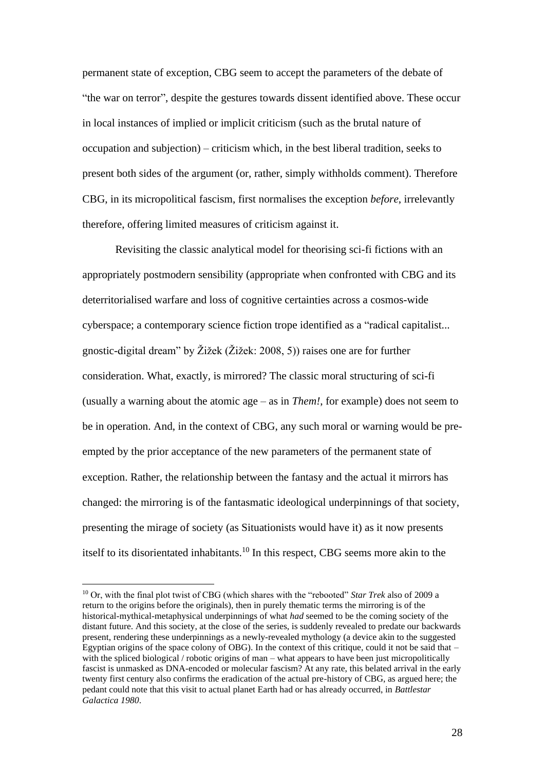permanent state of exception, CBG seem to accept the parameters of the debate of "the war on terror", despite the gestures towards dissent identified above. These occur in local instances of implied or implicit criticism (such as the brutal nature of occupation and subjection) – criticism which, in the best liberal tradition, seeks to present both sides of the argument (or, rather, simply withholds comment). Therefore CBG, in its micropolitical fascism, first normalises the exception *before*, irrelevantly therefore, offering limited measures of criticism against it.

Revisiting the classic analytical model for theorising sci-fi fictions with an appropriately postmodern sensibility (appropriate when confronted with CBG and its deterritorialised warfare and loss of cognitive certainties across a cosmos-wide cyberspace; a contemporary science fiction trope identified as a "radical capitalist... gnostic-digital dream" by Žižek (Žižek: 2008, 5)) raises one are for further consideration. What, exactly, is mirrored? The classic moral structuring of sci-fi (usually a warning about the atomic age – as in *Them!*, for example) does not seem to be in operation. And, in the context of CBG, any such moral or warning would be preempted by the prior acceptance of the new parameters of the permanent state of exception. Rather, the relationship between the fantasy and the actual it mirrors has changed: the mirroring is of the fantasmatic ideological underpinnings of that society, presenting the mirage of society (as Situationists would have it) as it now presents itself to its disorientated inhabitants.<sup>10</sup> In this respect, CBG seems more akin to the

<sup>10</sup> Or, with the final plot twist of CBG (which shares with the "rebooted" *Star Trek* also of 2009 a return to the origins before the originals), then in purely thematic terms the mirroring is of the historical-mythical-metaphysical underpinnings of what *had* seemed to be the coming society of the distant future. And this society, at the close of the series, is suddenly revealed to predate our backwards present, rendering these underpinnings as a newly-revealed mythology (a device akin to the suggested Egyptian origins of the space colony of OBG). In the context of this critique, could it not be said that – with the spliced biological / robotic origins of man – what appears to have been just micropolitically fascist is unmasked as DNA-encoded or molecular fascism? At any rate, this belated arrival in the early twenty first century also confirms the eradication of the actual pre-history of CBG, as argued here; the pedant could note that this visit to actual planet Earth had or has already occurred, in *Battlestar Galactica 1980*.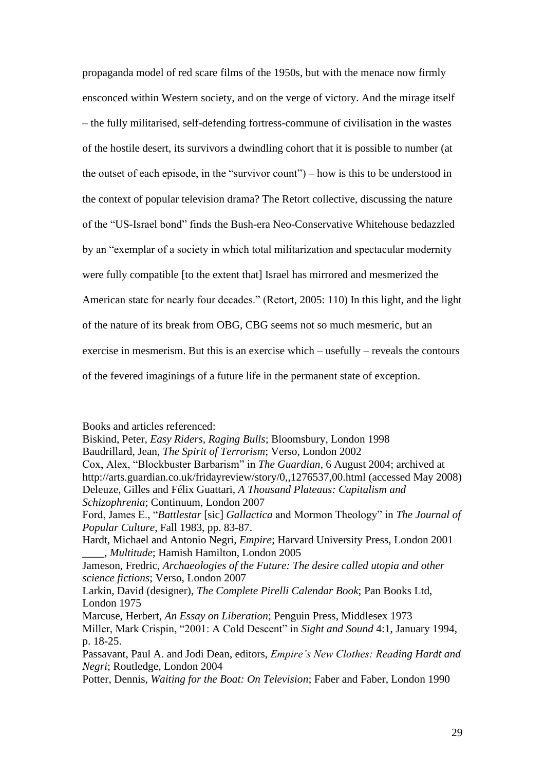propaganda model of red scare films of the 1950s, but with the menace now firmly ensconced within Western society, and on the verge of victory. And the mirage itself – the fully militarised, self-defending fortress-commune of civilisation in the wastes of the hostile desert, its survivors a dwindling cohort that it is possible to number (at the outset of each episode, in the "survivor count") – how is this to be understood in the context of popular television drama? The Retort collective, discussing the nature of the "US-Israel bond" finds the Bush-era Neo-Conservative Whitehouse bedazzled by an "exemplar of a society in which total militarization and spectacular modernity were fully compatible [to the extent that] Israel has mirrored and mesmerized the American state for nearly four decades." (Retort, 2005: 110) In this light, and the light of the nature of its break from OBG, CBG seems not so much mesmeric, but an exercise in mesmerism. But this is an exercise which – usefully – reveals the contours of the fevered imaginings of a future life in the permanent state of exception.

Books and articles referenced:

Biskind, Peter, *Easy Riders, Raging Bulls*; Bloomsbury, London 1998 Baudrillard, Jean, *The Spirit of Terrorism*; Verso, London 2002 Cox, Alex, "Blockbuster Barbarism" in *The Guardian*, 6 August 2004; archived at <http://arts.guardian.co.uk/fridayreview/story/0,,1276537,00.html> (accessed May 2008) Deleuze, Gilles and Félix Guattari, *A Thousand Plateaus: Capitalism and Schizophrenia*; Continuum, London 2007 Ford, James E., "*Battlestar* [sic] *Gallactica* and Mormon Theology" in *The Journal of Popular Culture*, Fall 1983, pp. 83-87. Hardt, Michael and Antonio Negri, *Empire*; Harvard University Press, London 2001 \_\_\_\_, *Multitude*; Hamish Hamilton, London 2005 Jameson, Fredric, *Archaeologies of the Future: The desire called utopia and other science fictions*; Verso, London 2007 Larkin, David (designer), *The Complete Pirelli Calendar Book*; Pan Books Ltd, London 1975 Marcuse, Herbert, *An Essay on Liberation*; Penguin Press, Middlesex 1973 Miller, Mark Crispin, "2001: A Cold Descent" in *Sight and Sound* 4:1, January 1994, p. 18-25. Passavant, Paul A. and Jodi Dean, editors, *Empire's New Clothes: Reading Hardt and Negri*; Routledge, London 2004 Potter, Dennis, *Waiting for the Boat: On Television*; Faber and Faber, London 1990